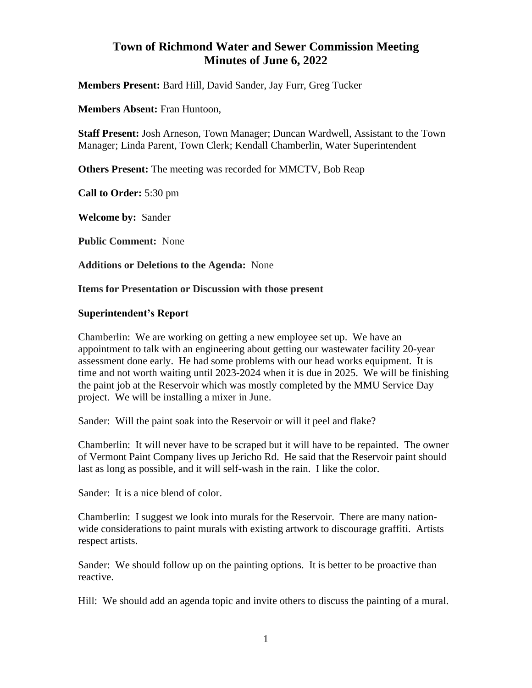# **Town of Richmond Water and Sewer Commission Meeting Minutes of June 6, 2022**

**Members Present:** Bard Hill*,* David Sander, Jay Furr, Greg Tucker

**Members Absent:** Fran Huntoon,

**Staff Present:** Josh Arneson, Town Manager; Duncan Wardwell, Assistant to the Town Manager; Linda Parent, Town Clerk; Kendall Chamberlin, Water Superintendent

**Others Present:** The meeting was recorded for MMCTV, Bob Reap

**Call to Order:** 5:30 pm

**Welcome by:** Sander

**Public Comment:** None

**Additions or Deletions to the Agenda:** None

**Items for Presentation or Discussion with those present**

#### **Superintendent's Report**

Chamberlin: We are working on getting a new employee set up. We have an appointment to talk with an engineering about getting our wastewater facility 20-year assessment done early. He had some problems with our head works equipment. It is time and not worth waiting until 2023-2024 when it is due in 2025. We will be finishing the paint job at the Reservoir which was mostly completed by the MMU Service Day project. We will be installing a mixer in June.

Sander: Will the paint soak into the Reservoir or will it peel and flake?

Chamberlin: It will never have to be scraped but it will have to be repainted. The owner of Vermont Paint Company lives up Jericho Rd. He said that the Reservoir paint should last as long as possible, and it will self-wash in the rain. I like the color.

Sander: It is a nice blend of color.

Chamberlin: I suggest we look into murals for the Reservoir. There are many nationwide considerations to paint murals with existing artwork to discourage graffiti. Artists respect artists.

Sander: We should follow up on the painting options. It is better to be proactive than reactive.

Hill: We should add an agenda topic and invite others to discuss the painting of a mural.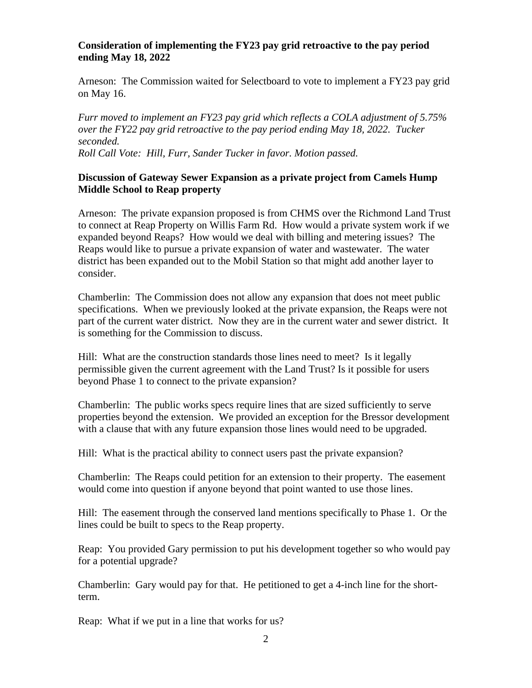## **Consideration of implementing the FY23 pay grid retroactive to the pay period ending May 18, 2022**

Arneson: The Commission waited for Selectboard to vote to implement a FY23 pay grid on May 16.

*Furr moved to implement an FY23 pay grid which reflects a COLA adjustment of 5.75% over the FY22 pay grid retroactive to the pay period ending May 18, 2022. Tucker seconded. Roll Call Vote: Hill, Furr, Sander Tucker in favor. Motion passed.*

# **Discussion of Gateway Sewer Expansion as a private project from Camels Hump Middle School to Reap property**

Arneson: The private expansion proposed is from CHMS over the Richmond Land Trust to connect at Reap Property on Willis Farm Rd. How would a private system work if we expanded beyond Reaps? How would we deal with billing and metering issues? The Reaps would like to pursue a private expansion of water and wastewater. The water district has been expanded out to the Mobil Station so that might add another layer to consider.

Chamberlin: The Commission does not allow any expansion that does not meet public specifications. When we previously looked at the private expansion, the Reaps were not part of the current water district. Now they are in the current water and sewer district. It is something for the Commission to discuss.

Hill: What are the construction standards those lines need to meet? Is it legally permissible given the current agreement with the Land Trust? Is it possible for users beyond Phase 1 to connect to the private expansion?

Chamberlin: The public works specs require lines that are sized sufficiently to serve properties beyond the extension. We provided an exception for the Bressor development with a clause that with any future expansion those lines would need to be upgraded.

Hill: What is the practical ability to connect users past the private expansion?

Chamberlin: The Reaps could petition for an extension to their property. The easement would come into question if anyone beyond that point wanted to use those lines.

Hill: The easement through the conserved land mentions specifically to Phase 1. Or the lines could be built to specs to the Reap property.

Reap: You provided Gary permission to put his development together so who would pay for a potential upgrade?

Chamberlin: Gary would pay for that. He petitioned to get a 4-inch line for the shortterm.

Reap: What if we put in a line that works for us?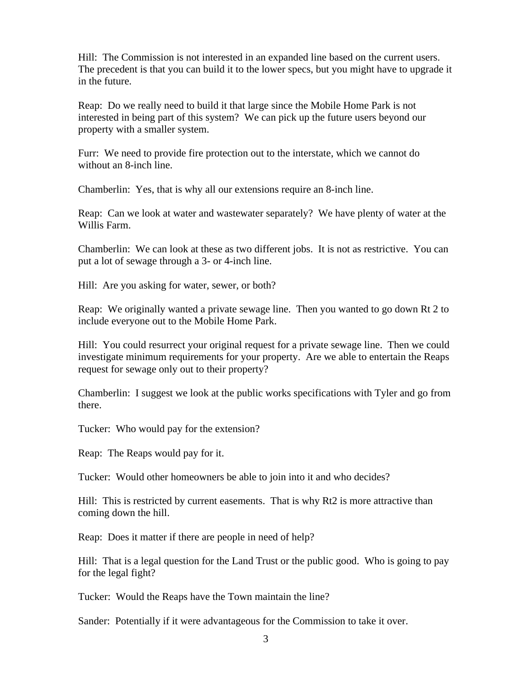Hill: The Commission is not interested in an expanded line based on the current users. The precedent is that you can build it to the lower specs, but you might have to upgrade it in the future.

Reap: Do we really need to build it that large since the Mobile Home Park is not interested in being part of this system? We can pick up the future users beyond our property with a smaller system.

Furr: We need to provide fire protection out to the interstate, which we cannot do without an 8-inch line.

Chamberlin: Yes, that is why all our extensions require an 8-inch line.

Reap: Can we look at water and wastewater separately? We have plenty of water at the Willis Farm.

Chamberlin: We can look at these as two different jobs. It is not as restrictive. You can put a lot of sewage through a 3- or 4-inch line.

Hill: Are you asking for water, sewer, or both?

Reap: We originally wanted a private sewage line. Then you wanted to go down Rt 2 to include everyone out to the Mobile Home Park.

Hill: You could resurrect your original request for a private sewage line. Then we could investigate minimum requirements for your property. Are we able to entertain the Reaps request for sewage only out to their property?

Chamberlin: I suggest we look at the public works specifications with Tyler and go from there.

Tucker: Who would pay for the extension?

Reap: The Reaps would pay for it.

Tucker: Would other homeowners be able to join into it and who decides?

Hill: This is restricted by current easements. That is why Rt2 is more attractive than coming down the hill.

Reap: Does it matter if there are people in need of help?

Hill: That is a legal question for the Land Trust or the public good. Who is going to pay for the legal fight?

Tucker: Would the Reaps have the Town maintain the line?

Sander: Potentially if it were advantageous for the Commission to take it over.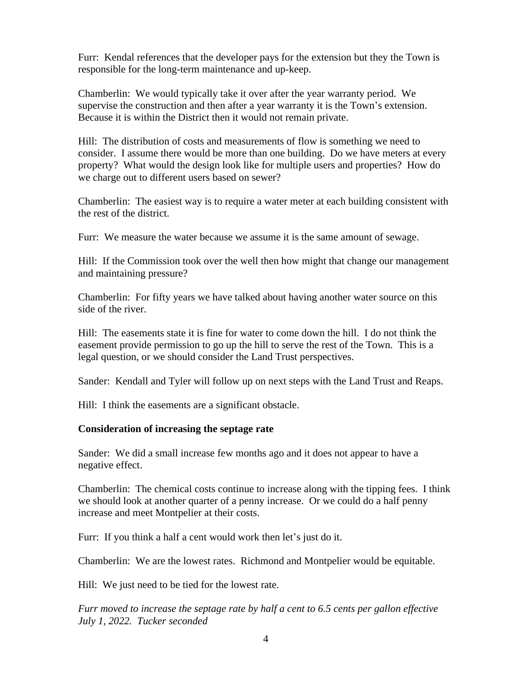Furr: Kendal references that the developer pays for the extension but they the Town is responsible for the long-term maintenance and up-keep.

Chamberlin: We would typically take it over after the year warranty period. We supervise the construction and then after a year warranty it is the Town's extension. Because it is within the District then it would not remain private.

Hill: The distribution of costs and measurements of flow is something we need to consider. I assume there would be more than one building. Do we have meters at every property? What would the design look like for multiple users and properties? How do we charge out to different users based on sewer?

Chamberlin: The easiest way is to require a water meter at each building consistent with the rest of the district.

Furr: We measure the water because we assume it is the same amount of sewage.

Hill: If the Commission took over the well then how might that change our management and maintaining pressure?

Chamberlin: For fifty years we have talked about having another water source on this side of the river.

Hill: The easements state it is fine for water to come down the hill. I do not think the easement provide permission to go up the hill to serve the rest of the Town. This is a legal question, or we should consider the Land Trust perspectives.

Sander: Kendall and Tyler will follow up on next steps with the Land Trust and Reaps.

Hill: I think the easements are a significant obstacle.

#### **Consideration of increasing the septage rate**

Sander: We did a small increase few months ago and it does not appear to have a negative effect.

Chamberlin: The chemical costs continue to increase along with the tipping fees. I think we should look at another quarter of a penny increase. Or we could do a half penny increase and meet Montpelier at their costs.

Furr: If you think a half a cent would work then let's just do it.

Chamberlin: We are the lowest rates. Richmond and Montpelier would be equitable.

Hill: We just need to be tied for the lowest rate.

*Furr moved to increase the septage rate by half a cent to 6.5 cents per gallon effective July 1, 2022. Tucker seconded*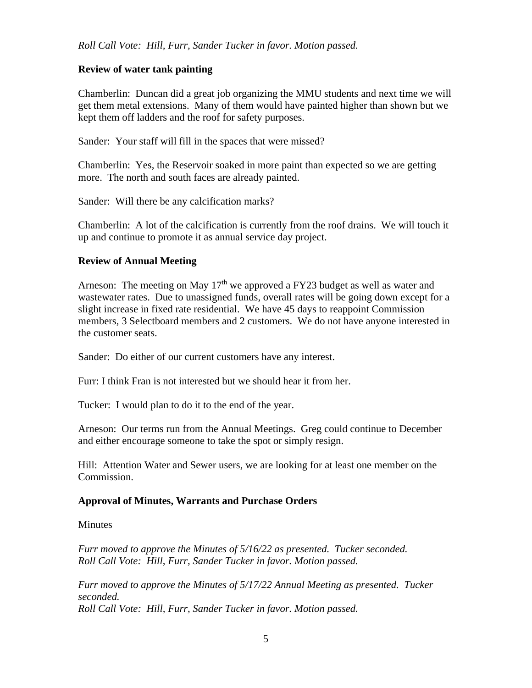# **Review of water tank painting**

Chamberlin: Duncan did a great job organizing the MMU students and next time we will get them metal extensions. Many of them would have painted higher than shown but we kept them off ladders and the roof for safety purposes.

Sander: Your staff will fill in the spaces that were missed?

Chamberlin: Yes, the Reservoir soaked in more paint than expected so we are getting more. The north and south faces are already painted.

Sander: Will there be any calcification marks?

Chamberlin: A lot of the calcification is currently from the roof drains. We will touch it up and continue to promote it as annual service day project.

## **Review of Annual Meeting**

Arneson: The meeting on May 17<sup>th</sup> we approved a FY23 budget as well as water and wastewater rates. Due to unassigned funds, overall rates will be going down except for a slight increase in fixed rate residential. We have 45 days to reappoint Commission members, 3 Selectboard members and 2 customers. We do not have anyone interested in the customer seats.

Sander: Do either of our current customers have any interest.

Furr: I think Fran is not interested but we should hear it from her.

Tucker: I would plan to do it to the end of the year.

Arneson: Our terms run from the Annual Meetings. Greg could continue to December and either encourage someone to take the spot or simply resign.

Hill: Attention Water and Sewer users, we are looking for at least one member on the Commission.

#### **Approval of Minutes, Warrants and Purchase Orders**

**Minutes** 

Furr moved to approve the Minutes of 5/16/22 as presented. Tucker seconded. *Roll Call Vote: Hill, Furr, Sander Tucker in favor. Motion passed.*

*Furr moved to approve the Minutes of 5/17/22 Annual Meeting as presented. Tucker seconded. Roll Call Vote: Hill, Furr, Sander Tucker in favor. Motion passed.*